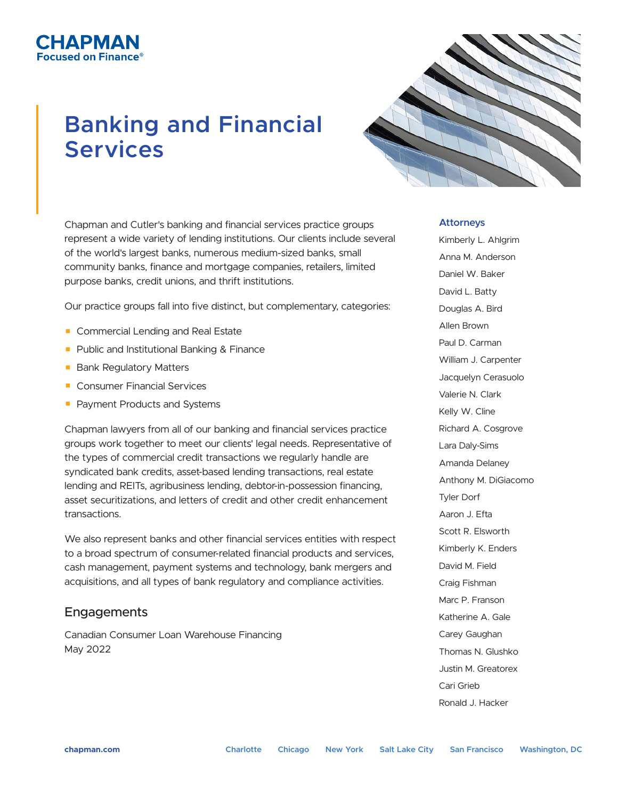# **Banking and Financial Services**



Chapman and Cutler's banking and financial services practice groups represent a wide variety of lending institutions. Our clients include several of the world's largest banks, numerous medium-sized banks, small community banks, finance and mortgage companies, retailers, limited purpose banks, credit unions, and thrift institutions.

Our practice groups fall into five distinct, but complementary, categories:

- Commercial Lending and Real Estate
- Public and Institutional Banking & Finance
- Bank Regulatory Matters

СНАРМАН ®An Finance

- Consumer Financial Services
- Payment Products and Systems

Chapman lawyers from all of our banking and financial services practice groups work together to meet our clients' legal needs. Representative of the types of commercial credit transactions we regularly handle are syndicated bank credits, asset-based lending transactions, real estate lending and REITs, agribusiness lending, debtor-in-possession financing, asset securitizations, and letters of credit and other credit enhancement transactions.

We also represent banks and other financial services entities with respect to a broad spectrum of consumer-related financial products and services, cash management, payment systems and technology, bank mergers and acquisitions, and all types of bank regulatory and compliance activities.

# Engagements

Canadian Consumer Loan Warehouse Financing May 2022

#### **Attorneys**

Kimberly L. Ahlgrim Anna M. Anderson Daniel W. Baker David L. Batty Douglas A. Bird Allen Brown Paul D. Carman William J. Carpenter Jacquelyn Cerasuolo Valerie N. Clark Kelly W. Cline Richard A. Cosgrove Lara Daly-Sims Amanda Delaney Anthony M. DiGiacomo Tyler Dorf Aaron J. Efta Scott R. Elsworth Kimberly K. Enders David M. Field Craig Fishman Marc P. Franson Katherine A. Gale Carey Gaughan Thomas N. Glushko Justin M. Greatorex Cari Grieb Ronald J. Hacker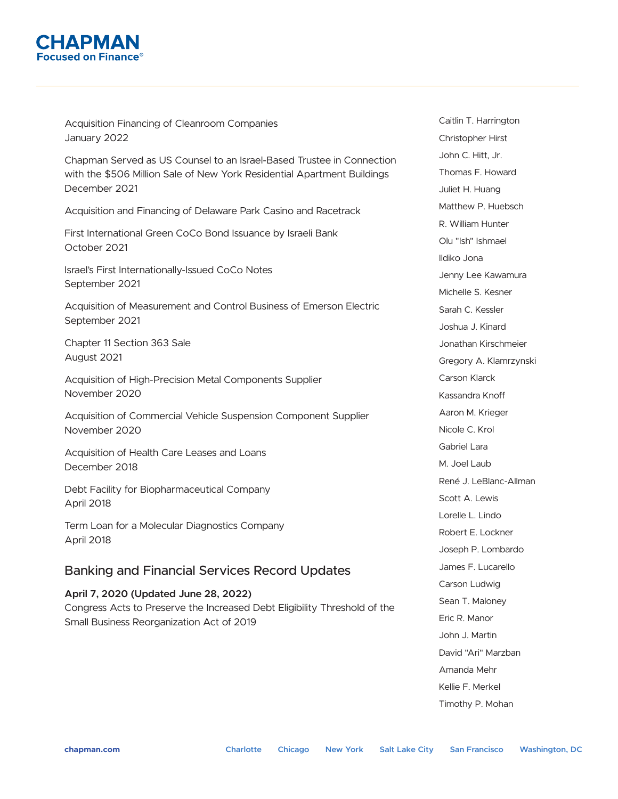

Acquisition Financing of Cleanroom Companies January 2022

Chapman Served as US Counsel to an Israel-Based Trustee in Connection with the \$506 Million Sale of New York Residential Apartment Buildings December 2021

Acquisition and Financing of Delaware Park Casino and Racetrack

First International Green CoCo Bond Issuance by Israeli Bank October 2021

Israel's First Internationally-Issued CoCo Notes September 2021

Acquisition of Measurement and Control Business of Emerson Electric September 2021

Chapter 11 Section 363 Sale August 2021

Acquisition of High-Precision Metal Components Supplier November 2020

Acquisition of Commercial Vehicle Suspension Component Supplier November 2020

Acquisition of Health Care Leases and Loans December 2018

Debt Facility for Biopharmaceutical Company April 2018

Term Loan for a Molecular Diagnostics Company April 2018

# Banking and Financial Services Record Updates

# **April 7, 2020 (Updated June 28, 2022)**

Congress Acts to Preserve the Increased Debt Eligibility Threshold of the Small Business Reorganization Act of 2019

Caitlin T. Harrington Christopher Hirst John C. Hitt, Jr. Thomas F. Howard Juliet H. Huang Matthew P. Huebsch R. William Hunter Olu "Ish" Ishmael Ildiko Jona Jenny Lee Kawamura Michelle S. Kesner Sarah C. Kessler Joshua J. Kinard Jonathan Kirschmeier Gregory A. Klamrzynski Carson Klarck Kassandra Knoff Aaron M. Krieger Nicole C. Krol Gabriel Lara M. Joel Laub René J. LeBlanc-Allman Scott A. Lewis Lorelle L. Lindo Robert E. Lockner Joseph P. Lombardo James F. Lucarello Carson Ludwig Sean T. Maloney Eric R. Manor John J. Martin David "Ari" Marzban Amanda Mehr Kellie F. Merkel Timothy P. Mohan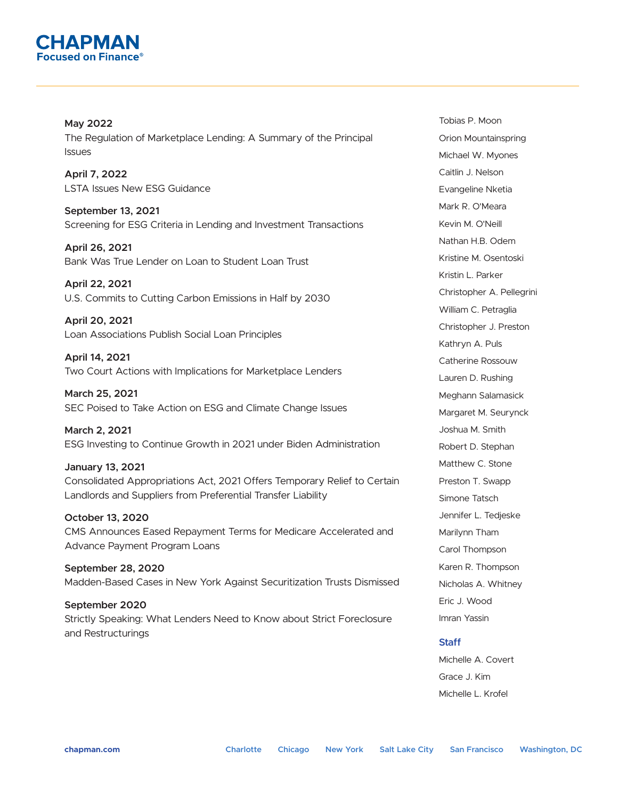

**May 2022** The Regulation of Marketplace Lending: A Summary of the Principal Issues

**April 7, 2022** LSTA Issues New ESG Guidance

**September 13, 2021** Screening for ESG Criteria in Lending and Investment Transactions

**April 26, 2021** Bank Was True Lender on Loan to Student Loan Trust

**April 22, 2021** U.S. Commits to Cutting Carbon Emissions in Half by 2030

**April 20, 2021** Loan Associations Publish Social Loan Principles

**April 14, 2021** Two Court Actions with Implications for Marketplace Lenders

**March 25, 2021** SEC Poised to Take Action on ESG and Climate Change Issues

**March 2, 2021** ESG Investing to Continue Growth in 2021 under Biden Administration

**January 13, 2021** Consolidated Appropriations Act, 2021 Offers Temporary Relief to Certain Landlords and Suppliers from Preferential Transfer Liability

**October 13, 2020** CMS Announces Eased Repayment Terms for Medicare Accelerated and Advance Payment Program Loans

**September 28, 2020** Madden-Based Cases in New York Against Securitization Trusts Dismissed

**September 2020** Strictly Speaking: What Lenders Need to Know about Strict Foreclosure and Restructurings

Tobias P. Moon Orion Mountainspring Michael W. Myones Caitlin J. Nelson Evangeline Nketia Mark R. O'Meara Kevin M. O'Neill Nathan H.B. Odem Kristine M. Osentoski Kristin L. Parker Christopher A. Pellegrini William C. Petraglia Christopher J. Preston Kathryn A. Puls Catherine Rossouw Lauren D. Rushing Meghann Salamasick Margaret M. Seurynck Joshua M. Smith Robert D. Stephan Matthew C. Stone Preston T. Swapp Simone Tatsch Jennifer L. Tedjeske Marilynn Tham Carol Thompson Karen R. Thompson Nicholas A. Whitney Eric J. Wood Imran Yassin

# **Staff**

Michelle A. Covert Grace J. Kim Michelle L. Krofel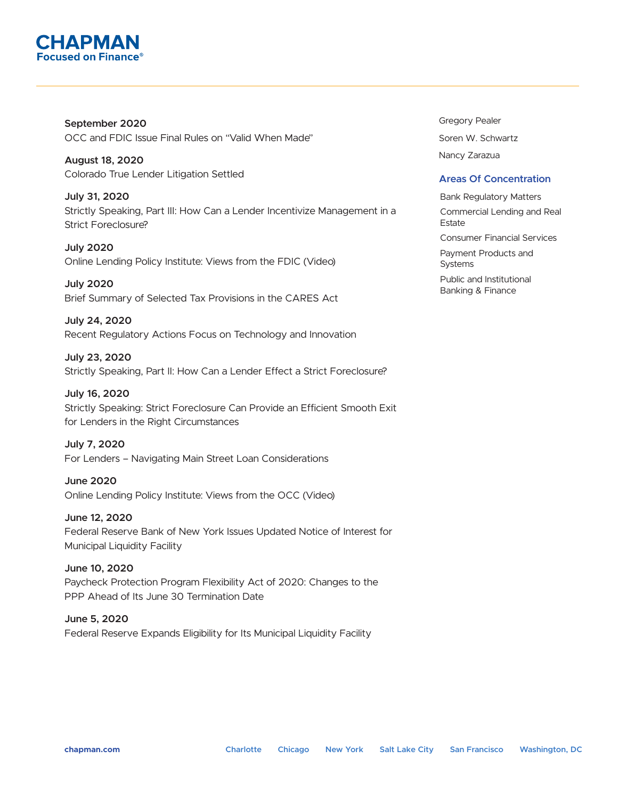

**September 2020** OCC and FDIC Issue Final Rules on "Valid When Made"

**August 18, 2020** Colorado True Lender Litigation Settled

**July 31, 2020** Strictly Speaking, Part III: How Can a Lender Incentivize Management in a Strict Foreclosure?

**July 2020** Online Lending Policy Institute: Views from the FDIC (Video)

**July 2020** Brief Summary of Selected Tax Provisions in the CARES Act

**July 24, 2020** Recent Regulatory Actions Focus on Technology and Innovation

**July 23, 2020** Strictly Speaking, Part II: How Can a Lender Effect a Strict Foreclosure?

**July 16, 2020** Strictly Speaking: Strict Foreclosure Can Provide an Efficient Smooth Exit for Lenders in the Right Circumstances

**July 7, 2020** For Lenders – Navigating Main Street Loan Considerations

**June 2020** Online Lending Policy Institute: Views from the OCC (Video)

**June 12, 2020** Federal Reserve Bank of New York Issues Updated Notice of Interest for Municipal Liquidity Facility

**June 10, 2020** Paycheck Protection Program Flexibility Act of 2020: Changes to the PPP Ahead of Its June 30 Termination Date

**June 5, 2020** Federal Reserve Expands Eligibility for Its Municipal Liquidity Facility Gregory Pealer Soren W. Schwartz Nancy Zarazua

# **Areas Of Concentration**

Bank Regulatory Matters Commercial Lending and Real Estate Consumer Financial Services Payment Products and **Systems** Public and Institutional Banking & Finance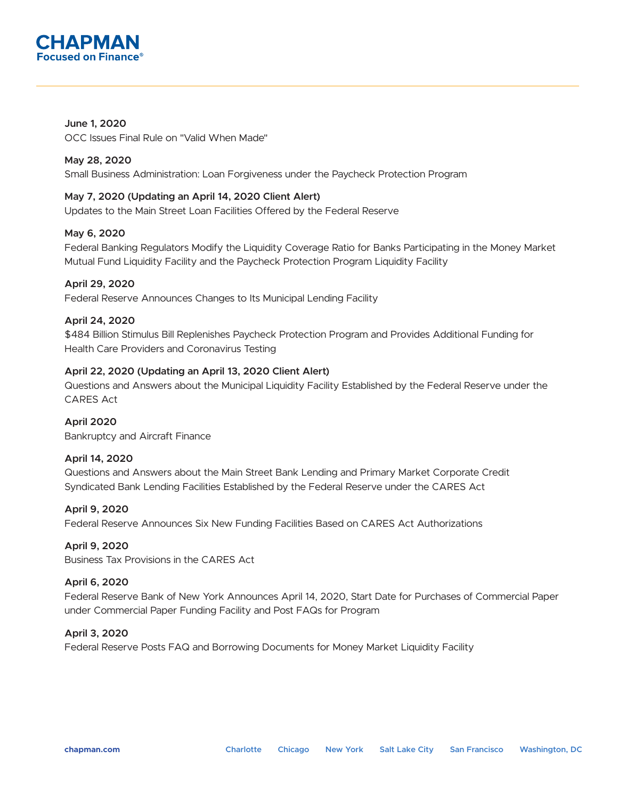

**June 1, 2020** OCC Issues Final Rule on "Valid When Made"

# **May 28, 2020**

Small Business Administration: Loan Forgiveness under the Paycheck Protection Program

# **May 7, 2020 (Updating an April 14, 2020 Client Alert)**

Updates to the Main Street Loan Facilities Offered by the Federal Reserve

# **May 6, 2020**

Federal Banking Regulators Modify the Liquidity Coverage Ratio for Banks Participating in the Money Market Mutual Fund Liquidity Facility and the Paycheck Protection Program Liquidity Facility

# **April 29, 2020**

Federal Reserve Announces Changes to Its Municipal Lending Facility

# **April 24, 2020**

\$484 Billion Stimulus Bill Replenishes Paycheck Protection Program and Provides Additional Funding for Health Care Providers and Coronavirus Testing

# **April 22, 2020 (Updating an April 13, 2020 Client Alert)**

Questions and Answers about the Municipal Liquidity Facility Established by the Federal Reserve under the CARES Act

# **April 2020**

Bankruptcy and Aircraft Finance

# **April 14, 2020**

Questions and Answers about the Main Street Bank Lending and Primary Market Corporate Credit Syndicated Bank Lending Facilities Established by the Federal Reserve under the CARES Act

# **April 9, 2020**

Federal Reserve Announces Six New Funding Facilities Based on CARES Act Authorizations

# **April 9, 2020**

Business Tax Provisions in the CARES Act

# **April 6, 2020**

Federal Reserve Bank of New York Announces April 14, 2020, Start Date for Purchases of Commercial Paper under Commercial Paper Funding Facility and Post FAQs for Program

# **April 3, 2020**

Federal Reserve Posts FAQ and Borrowing Documents for Money Market Liquidity Facility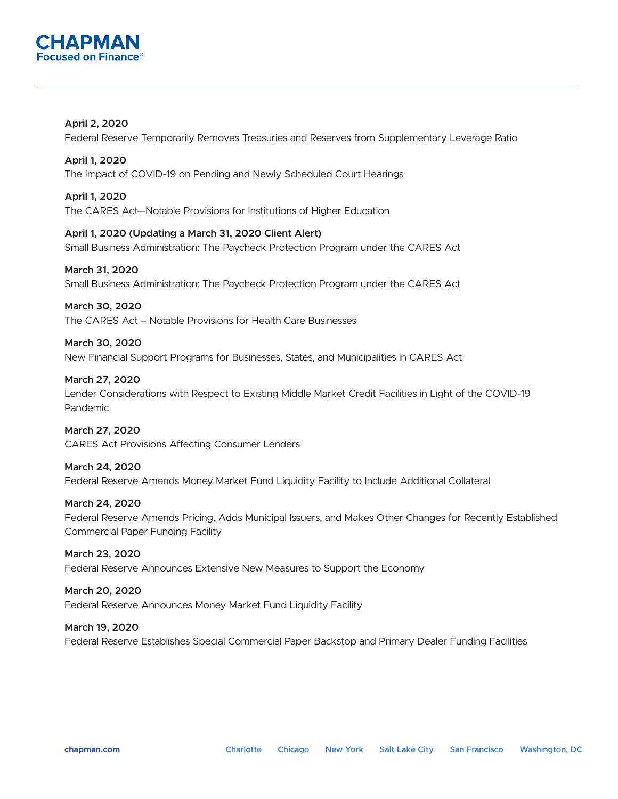

**April 2, 2020** Federal Reserve Temporarily Removes Treasuries and Reserves from Supplementary Leverage Ratio

**April 1, 2020** The Impact of COVID-19 on Pending and Newly Scheduled Court Hearings

**April 1, 2020** The CARES Act—Notable Provisions for Institutions of Higher Education

**April 1, 2020 (Updating a March 31, 2020 Client Alert)** Small Business Administration: The Paycheck Protection Program under the CARES Act

**March 31, 2020** Small Business Administration: The Paycheck Protection Program under the CARES Act

**March 30, 2020** The CARES Act – Notable Provisions for Health Care Businesses

**March 30, 2020** New Financial Support Programs for Businesses, States, and Municipalities in CARES Act

**March 27, 2020** Lender Considerations with Respect to Existing Middle Market Credit Facilities in Light of the COVID-19 Pandemic

**March 27, 2020** CARES Act Provisions Affecting Consumer Lenders

**March 24, 2020** Federal Reserve Amends Money Market Fund Liquidity Facility to Include Additional Collateral

**March 24, 2020** Federal Reserve Amends Pricing, Adds Municipal Issuers, and Makes Other Changes for Recently Established Commercial Paper Funding Facility

**March 23, 2020** Federal Reserve Announces Extensive New Measures to Support the Economy

**March 20, 2020** Federal Reserve Announces Money Market Fund Liquidity Facility

**March 19, 2020** Federal Reserve Establishes Special Commercial Paper Backstop and Primary Dealer Funding Facilities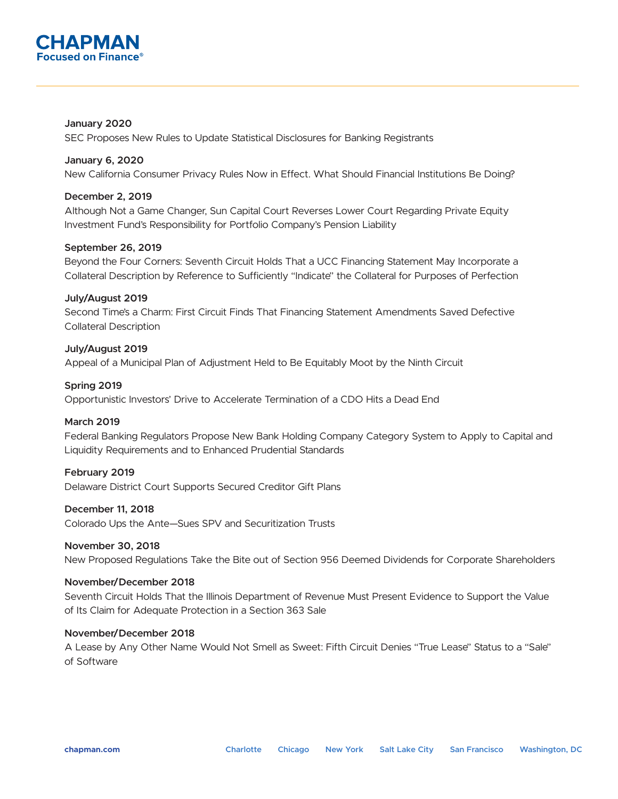

# **January 2020** SEC Proposes New Rules to Update Statistical Disclosures for Banking Registrants

# **January 6, 2020**

New California Consumer Privacy Rules Now in Effect. What Should Financial Institutions Be Doing?

# **December 2, 2019**

Although Not a Game Changer, Sun Capital Court Reverses Lower Court Regarding Private Equity Investment Fund's Responsibility for Portfolio Company's Pension Liability

# **September 26, 2019**

Beyond the Four Corners: Seventh Circuit Holds That a UCC Financing Statement May Incorporate a Collateral Description by Reference to Sufficiently "Indicate" the Collateral for Purposes of Perfection

# **July/August 2019**

Second Time's a Charm: First Circuit Finds That Financing Statement Amendments Saved Defective Collateral Description

# **July/August 2019**

Appeal of a Municipal Plan of Adjustment Held to Be Equitably Moot by the Ninth Circuit

# **Spring 2019**

Opportunistic Investors' Drive to Accelerate Termination of a CDO Hits a Dead End

# **March 2019**

Federal Banking Regulators Propose New Bank Holding Company Category System to Apply to Capital and Liquidity Requirements and to Enhanced Prudential Standards

# **February 2019**

Delaware District Court Supports Secured Creditor Gift Plans

# **December 11, 2018**

Colorado Ups the Ante—Sues SPV and Securitization Trusts

#### **November 30, 2018**

New Proposed Regulations Take the Bite out of Section 956 Deemed Dividends for Corporate Shareholders

#### **November/December 2018**

Seventh Circuit Holds That the Illinois Department of Revenue Must Present Evidence to Support the Value of Its Claim for Adequate Protection in a Section 363 Sale

# **November/December 2018**

A Lease by Any Other Name Would Not Smell as Sweet: Fifth Circuit Denies "True Lease" Status to a "Sale" of Software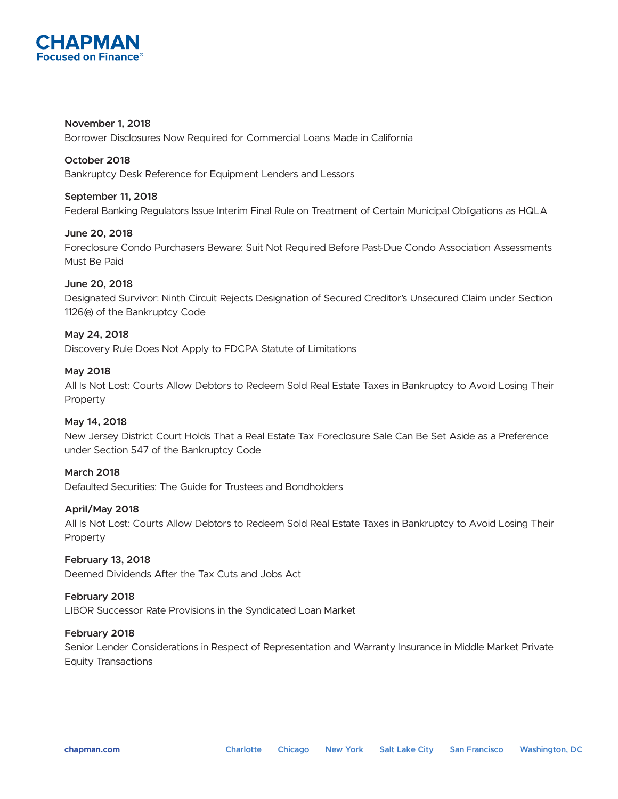

# **November 1, 2018** Borrower Disclosures Now Required for Commercial Loans Made in California

# **October 2018**

Bankruptcy Desk Reference for Equipment Lenders and Lessors

# **September 11, 2018**

Federal Banking Regulators Issue Interim Final Rule on Treatment of Certain Municipal Obligations as HQLA

# **June 20, 2018**

Foreclosure Condo Purchasers Beware: Suit Not Required Before Past-Due Condo Association Assessments Must Be Paid

# **June 20, 2018**

Designated Survivor: Ninth Circuit Rejects Designation of Secured Creditor's Unsecured Claim under Section 1126(e) of the Bankruptcy Code

# **May 24, 2018**

Discovery Rule Does Not Apply to FDCPA Statute of Limitations

# **May 2018**

All Is Not Lost: Courts Allow Debtors to Redeem Sold Real Estate Taxes in Bankruptcy to Avoid Losing Their Property

# **May 14, 2018**

New Jersey District Court Holds That a Real Estate Tax Foreclosure Sale Can Be Set Aside as a Preference under Section 547 of the Bankruptcy Code

# **March 2018**

Defaulted Securities: The Guide for Trustees and Bondholders

# **April/May 2018**

All Is Not Lost: Courts Allow Debtors to Redeem Sold Real Estate Taxes in Bankruptcy to Avoid Losing Their Property

# **February 13, 2018**

Deemed Dividends After the Tax Cuts and Jobs Act

# **February 2018**

LIBOR Successor Rate Provisions in the Syndicated Loan Market

# **February 2018**

Senior Lender Considerations in Respect of Representation and Warranty Insurance in Middle Market Private Equity Transactions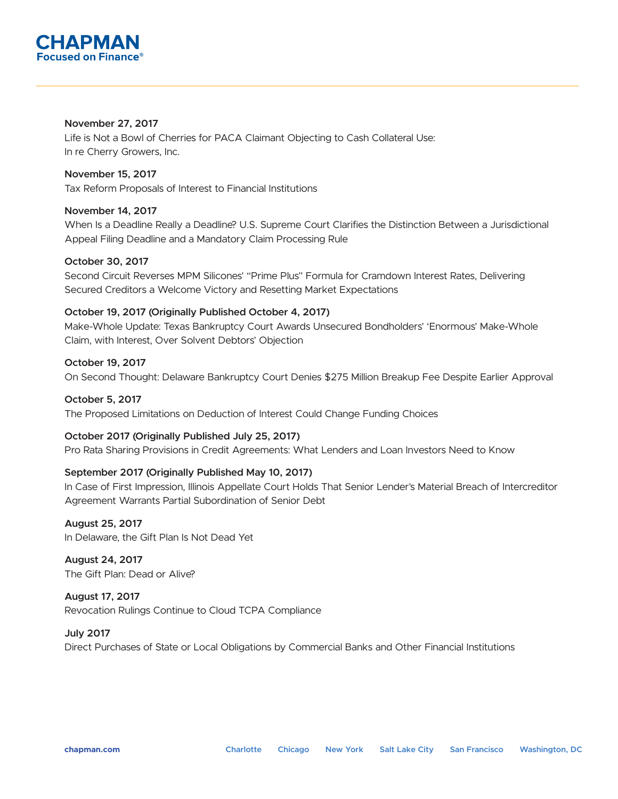

# **November 27, 2017**

Life is Not a Bowl of Cherries for PACA Claimant Objecting to Cash Collateral Use: In re Cherry Growers, Inc.

**November 15, 2017** Tax Reform Proposals of Interest to Financial Institutions

# **November 14, 2017**

When Is a Deadline Really a Deadline? U.S. Supreme Court Clarifies the Distinction Between a Jurisdictional Appeal Filing Deadline and a Mandatory Claim Processing Rule

# **October 30, 2017**

Second Circuit Reverses MPM Silicones' "Prime Plus" Formula for Cramdown Interest Rates, Delivering Secured Creditors a Welcome Victory and Resetting Market Expectations

# **October 19, 2017 (Originally Published October 4, 2017)**

Make-Whole Update: Texas Bankruptcy Court Awards Unsecured Bondholders' 'Enormous' Make-Whole Claim, with Interest, Over Solvent Debtors' Objection

# **October 19, 2017**

On Second Thought: Delaware Bankruptcy Court Denies \$275 Million Breakup Fee Despite Earlier Approval

# **October 5, 2017**

The Proposed Limitations on Deduction of Interest Could Change Funding Choices

# **October 2017 (Originally Published July 25, 2017)**

Pro Rata Sharing Provisions in Credit Agreements: What Lenders and Loan Investors Need to Know

# **September 2017 (Originally Published May 10, 2017)**

In Case of First Impression, Illinois Appellate Court Holds That Senior Lender's Material Breach of Intercreditor Agreement Warrants Partial Subordination of Senior Debt

# **August 25, 2017**

In Delaware, the Gift Plan Is Not Dead Yet

**August 24, 2017** The Gift Plan: Dead or Alive?

# **August 17, 2017**

Revocation Rulings Continue to Cloud TCPA Compliance

# **July 2017**

Direct Purchases of State or Local Obligations by Commercial Banks and Other Financial Institutions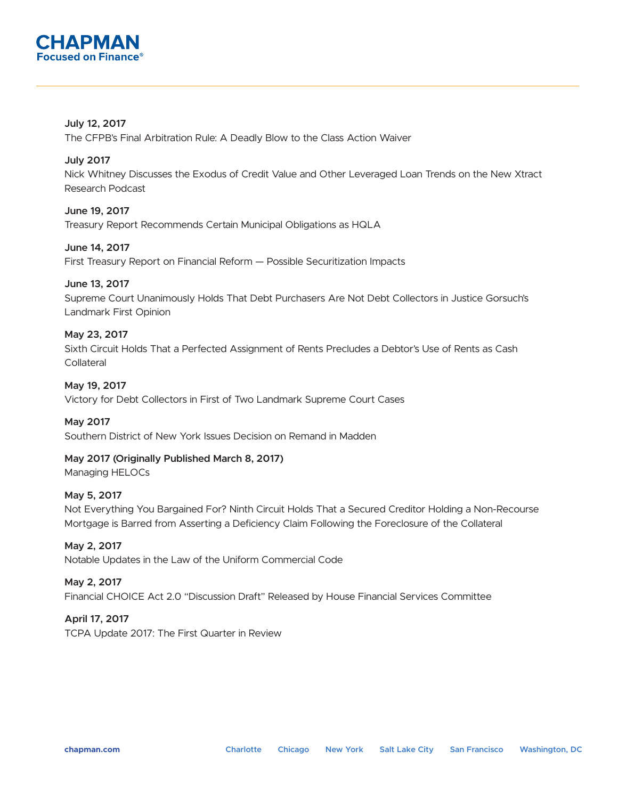

# **July 12, 2017**

The CFPB's Final Arbitration Rule: A Deadly Blow to the Class Action Waiver

# **July 2017**

Nick Whitney Discusses the Exodus of Credit Value and Other Leveraged Loan Trends on the New Xtract Research Podcast

# **June 19, 2017**

Treasury Report Recommends Certain Municipal Obligations as HQLA

# **June 14, 2017**

First Treasury Report on Financial Reform — Possible Securitization Impacts

# **June 13, 2017**

Supreme Court Unanimously Holds That Debt Purchasers Are Not Debt Collectors in Justice Gorsuch's Landmark First Opinion

# **May 23, 2017**

Sixth Circuit Holds That a Perfected Assignment of Rents Precludes a Debtor's Use of Rents as Cash Collateral

# **May 19, 2017**

Victory for Debt Collectors in First of Two Landmark Supreme Court Cases

# **May 2017**

Southern District of New York Issues Decision on Remand in Madden

# **May 2017 (Originally Published March 8, 2017)**

Managing HELOCs

# **May 5, 2017**

Not Everything You Bargained For? Ninth Circuit Holds That a Secured Creditor Holding a Non-Recourse Mortgage is Barred from Asserting a Deficiency Claim Following the Foreclosure of the Collateral

# **May 2, 2017**

Notable Updates in the Law of the Uniform Commercial Code

# **May 2, 2017**

Financial CHOICE Act 2.0 "Discussion Draft" Released by House Financial Services Committee

# **April 17, 2017**

TCPA Update 2017: The First Quarter in Review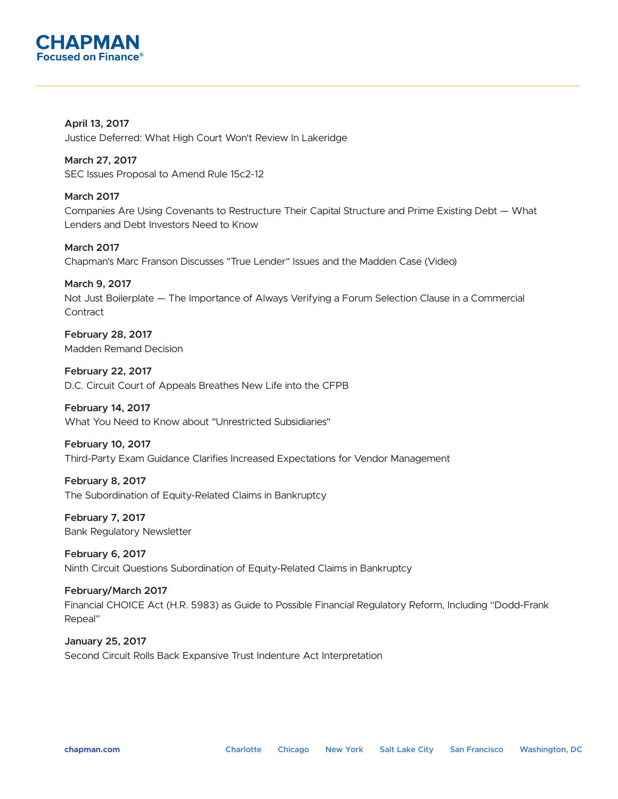

**April 13, 2017** Justice Deferred: What High Court Won't Review In Lakeridge

**March 27, 2017** SEC Issues Proposal to Amend Rule 15c2-12

**March 2017** Companies Are Using Covenants to Restructure Their Capital Structure and Prime Existing Debt — What Lenders and Debt Investors Need to Know

**March 2017** Chapman's Marc Franson Discusses "True Lender" Issues and the Madden Case (Video)

**March 9, 2017** Not Just Boilerplate — The Importance of Always Verifying a Forum Selection Clause in a Commercial **Contract** 

**February 28, 2017** Madden Remand Decision

**February 22, 2017** D.C. Circuit Court of Appeals Breathes New Life into the CFPB

**February 14, 2017** What You Need to Know about "Unrestricted Subsidiaries"

**February 10, 2017** Third-Party Exam Guidance Clarifies Increased Expectations for Vendor Management

**February 8, 2017** The Subordination of Equity-Related Claims in Bankruptcy

**February 7, 2017** Bank Regulatory Newsletter

**February 6, 2017** Ninth Circuit Questions Subordination of Equity-Related Claims in Bankruptcy

**February/March 2017** Financial CHOICE Act (H.R. 5983) as Guide to Possible Financial Regulatory Reform, Including "Dodd-Frank Repeal"

**January 25, 2017** Second Circuit Rolls Back Expansive Trust Indenture Act Interpretation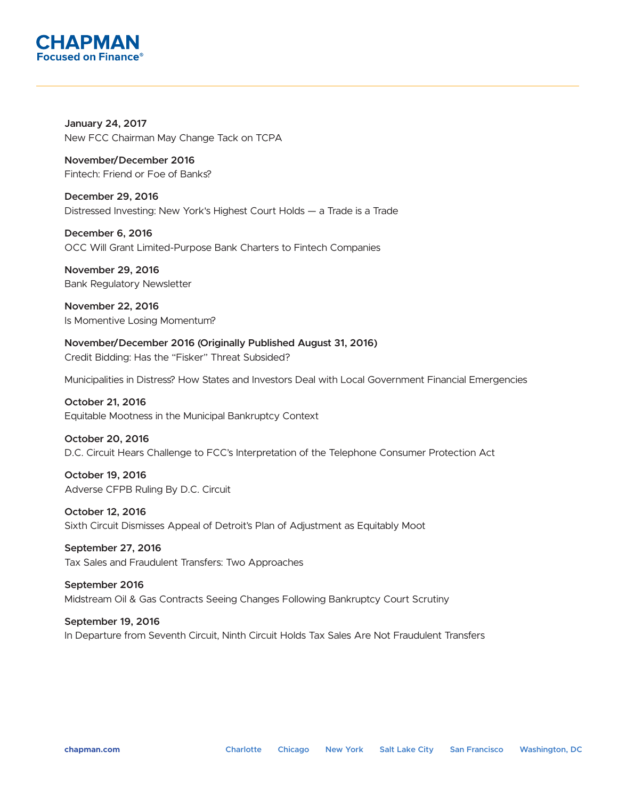

**January 24, 2017** New FCC Chairman May Change Tack on TCPA

**November/December 2016** Fintech: Friend or Foe of Banks?

**December 29, 2016** Distressed Investing: New York's Highest Court Holds — a Trade is a Trade

**December 6, 2016** OCC Will Grant Limited-Purpose Bank Charters to Fintech Companies

**November 29, 2016** Bank Regulatory Newsletter

**November 22, 2016** Is Momentive Losing Momentum?

**November/December 2016 (Originally Published August 31, 2016)** Credit Bidding: Has the "Fisker" Threat Subsided?

Municipalities in Distress? How States and Investors Deal with Local Government Financial Emergencies

**October 21, 2016** Equitable Mootness in the Municipal Bankruptcy Context

**October 20, 2016**

D.C. Circuit Hears Challenge to FCC's Interpretation of the Telephone Consumer Protection Act

**October 19, 2016** Adverse CFPB Ruling By D.C. Circuit

**October 12, 2016** Sixth Circuit Dismisses Appeal of Detroit's Plan of Adjustment as Equitably Moot

**September 27, 2016** Tax Sales and Fraudulent Transfers: Two Approaches

**September 2016** Midstream Oil & Gas Contracts Seeing Changes Following Bankruptcy Court Scrutiny

**September 19, 2016** In Departure from Seventh Circuit, Ninth Circuit Holds Tax Sales Are Not Fraudulent Transfers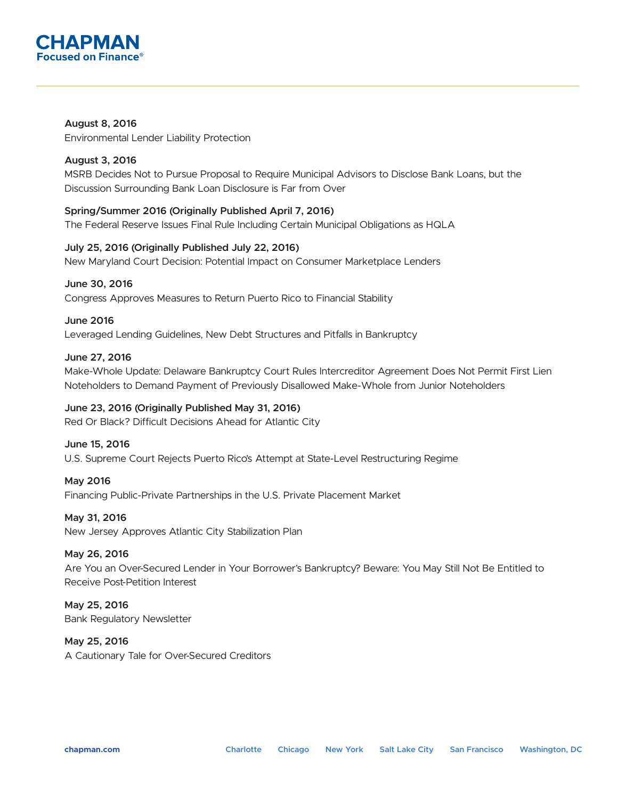

**August 8, 2016** Environmental Lender Liability Protection

# **August 3, 2016** MSRB Decides Not to Pursue Proposal to Require Municipal Advisors to Disclose Bank Loans, but the Discussion Surrounding Bank Loan Disclosure is Far from Over

# **Spring/Summer 2016 (Originally Published April 7, 2016)**

The Federal Reserve Issues Final Rule Including Certain Municipal Obligations as HQLA

**July 25, 2016 (Originally Published July 22, 2016)** New Maryland Court Decision: Potential Impact on Consumer Marketplace Lenders

#### **June 30, 2016**

Congress Approves Measures to Return Puerto Rico to Financial Stability

#### **June 2016**

Leveraged Lending Guidelines, New Debt Structures and Pitfalls in Bankruptcy

#### **June 27, 2016**

Make-Whole Update: Delaware Bankruptcy Court Rules Intercreditor Agreement Does Not Permit First Lien Noteholders to Demand Payment of Previously Disallowed Make‑Whole from Junior Noteholders

# **June 23, 2016 (Originally Published May 31, 2016)**

Red Or Black? Difficult Decisions Ahead for Atlantic City

#### **June 15, 2016**

U.S. Supreme Court Rejects Puerto Rico's Attempt at State-Level Restructuring Regime

**May 2016**

Financing Public-Private Partnerships in the U.S. Private Placement Market

#### **May 31, 2016**

New Jersey Approves Atlantic City Stabilization Plan

#### **May 26, 2016**

Are You an Over-Secured Lender in Your Borrower's Bankruptcy? Beware: You May Still Not Be Entitled to Receive Post-Petition Interest

**May 25, 2016** Bank Regulatory Newsletter

# **May 25, 2016**

A Cautionary Tale for Over-Secured Creditors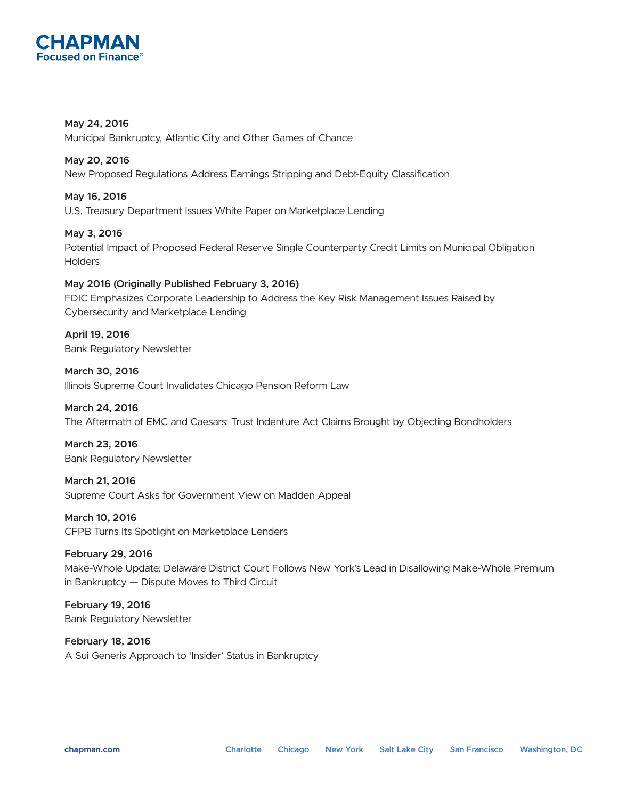

**May 24, 2016** Municipal Bankruptcy, Atlantic City and Other Games of Chance

# **May 20, 2016**

New Proposed Regulations Address Earnings Stripping and Debt-Equity Classification

# **May 16, 2016**

U.S. Treasury Department Issues White Paper on Marketplace Lending

# **May 3, 2016**

Potential Impact of Proposed Federal Reserve Single Counterparty Credit Limits on Municipal Obligation **Holders** 

# **May 2016 (Originally Published February 3, 2016)**

FDIC Emphasizes Corporate Leadership to Address the Key Risk Management Issues Raised by Cybersecurity and Marketplace Lending

**April 19, 2016** Bank Regulatory Newsletter

**March 30, 2016** Illinois Supreme Court Invalidates Chicago Pension Reform Law

# **March 24, 2016**

The Aftermath of EMC and Caesars: Trust Indenture Act Claims Brought by Objecting Bondholders

**March 23, 2016** Bank Regulatory Newsletter

**March 21, 2016** Supreme Court Asks for Government View on Madden Appeal

**March 10, 2016** CFPB Turns Its Spotlight on Marketplace Lenders

# **February 29, 2016**

Make-Whole Update: Delaware District Court Follows New York's Lead in Disallowing Make-Whole Premium in Bankruptcy — Dispute Moves to Third Circuit

**February 19, 2016** Bank Regulatory Newsletter

**February 18, 2016** A Sui Generis Approach to 'Insider' Status in Bankruptcy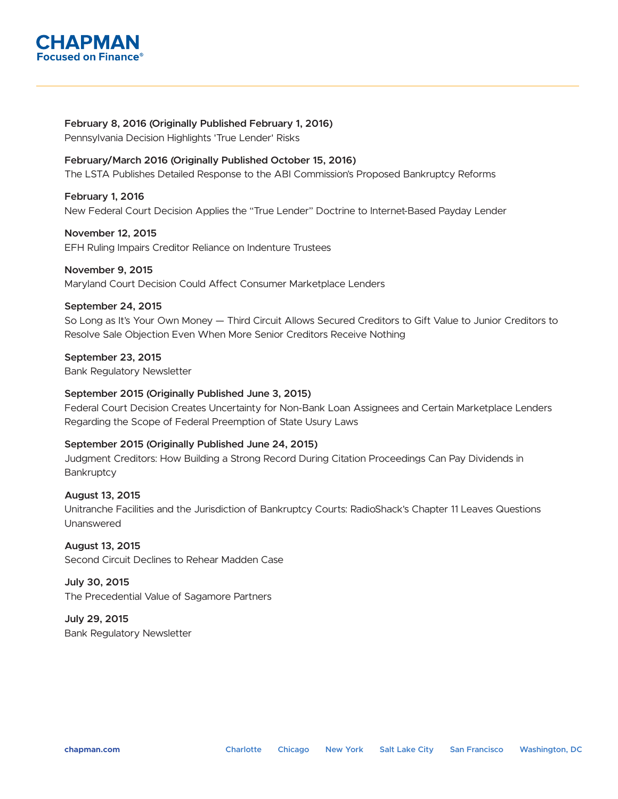

# **February 8, 2016 (Originally Published February 1, 2016)**

Pennsylvania Decision Highlights 'True Lender' Risks

# **February/March 2016 (Originally Published October 15, 2016)**

The LSTA Publishes Detailed Response to the ABI Commission's Proposed Bankruptcy Reforms

# **February 1, 2016**

New Federal Court Decision Applies the "True Lender" Doctrine to Internet-Based Payday Lender

**November 12, 2015** EFH Ruling Impairs Creditor Reliance on Indenture Trustees

**November 9, 2015** Maryland Court Decision Could Affect Consumer Marketplace Lenders

# **September 24, 2015**

So Long as It's Your Own Money — Third Circuit Allows Secured Creditors to Gift Value to Junior Creditors to Resolve Sale Objection Even When More Senior Creditors Receive Nothing

**September 23, 2015** Bank Regulatory Newsletter

# **September 2015 (Originally Published June 3, 2015)**

Federal Court Decision Creates Uncertainty for Non-Bank Loan Assignees and Certain Marketplace Lenders Regarding the Scope of Federal Preemption of State Usury Laws

# **September 2015 (Originally Published June 24, 2015)**

Judgment Creditors: How Building a Strong Record During Citation Proceedings Can Pay Dividends in **Bankruptcy** 

# **August 13, 2015**

Unitranche Facilities and the Jurisdiction of Bankruptcy Courts: RadioShack's Chapter 11 Leaves Questions Unanswered

**August 13, 2015** Second Circuit Declines to Rehear Madden Case

**July 30, 2015** The Precedential Value of Sagamore Partners

**July 29, 2015** Bank Regulatory Newsletter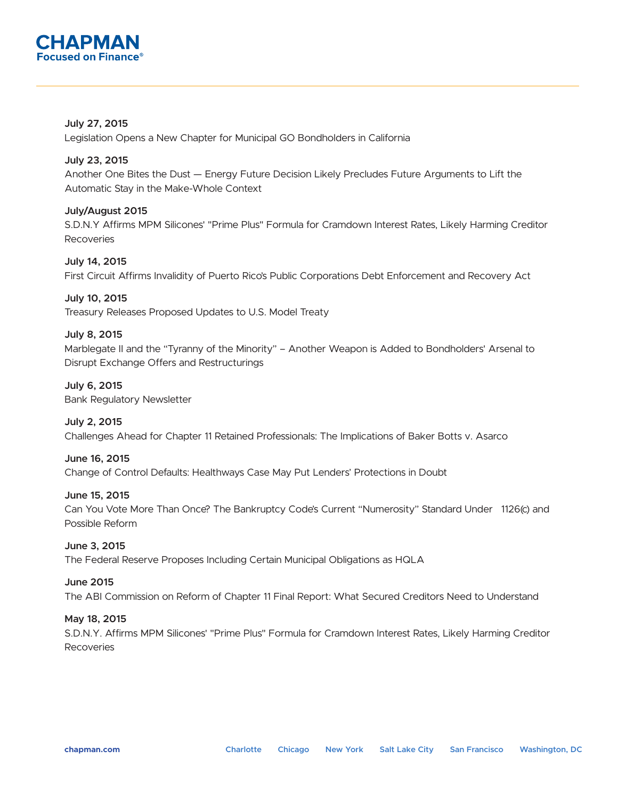

# **July 27, 2015**

Legislation Opens a New Chapter for Municipal GO Bondholders in California

# **July 23, 2015**

Another One Bites the Dust — Energy Future Decision Likely Precludes Future Arguments to Lift the Automatic Stay in the Make-Whole Context

# **July/August 2015**

S.D.N.Y Affirms MPM Silicones' "Prime Plus" Formula for Cramdown Interest Rates, Likely Harming Creditor Recoveries

# **July 14, 2015**

First Circuit Affirms Invalidity of Puerto Rico's Public Corporations Debt Enforcement and Recovery Act

# **July 10, 2015**

Treasury Releases Proposed Updates to U.S. Model Treaty

# **July 8, 2015**

Marblegate II and the "Tyranny of the Minority" – Another Weapon is Added to Bondholders' Arsenal to Disrupt Exchange Offers and Restructurings

# **July 6, 2015**

Bank Regulatory Newsletter

# **July 2, 2015**

Challenges Ahead for Chapter 11 Retained Professionals: The Implications of Baker Botts v. Asarco

# **June 16, 2015**

Change of Control Defaults: Healthways Case May Put Lenders' Protections in Doubt

# **June 15, 2015**

Can You Vote More Than Once? The Bankruptcy Code's Current "Numerosity" Standard Under 1126(c) and Possible Reform

# **June 3, 2015**

The Federal Reserve Proposes Including Certain Municipal Obligations as HQLA

# **June 2015**

The ABI Commission on Reform of Chapter 11 Final Report: What Secured Creditors Need to Understand

# **May 18, 2015**

S.D.N.Y. Affirms MPM Silicones' "Prime Plus" Formula for Cramdown Interest Rates, Likely Harming Creditor Recoveries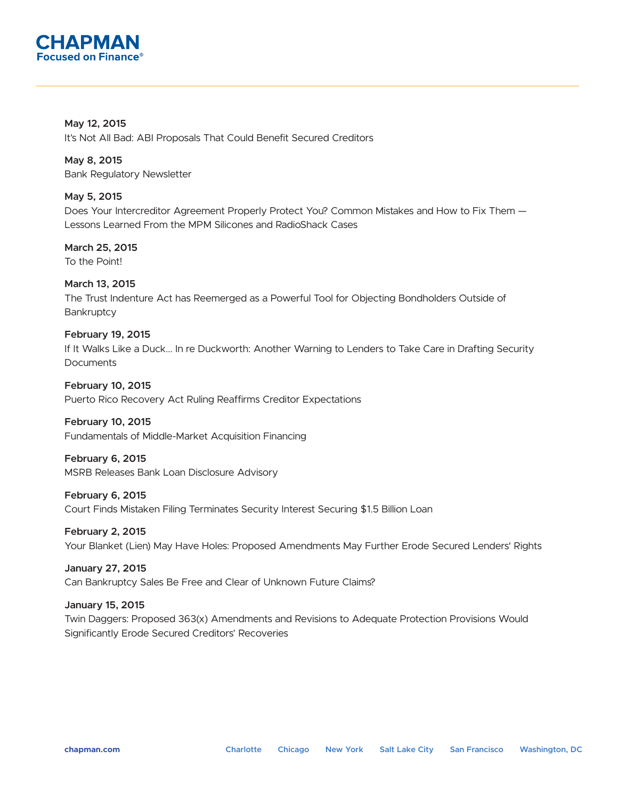

**May 12, 2015** It's Not All Bad: ABI Proposals That Could Benefit Secured Creditors

**May 8, 2015** Bank Regulatory Newsletter

**May 5, 2015** Does Your Intercreditor Agreement Properly Protect You? Common Mistakes and How to Fix Them — Lessons Learned From the MPM Silicones and RadioShack Cases

**March 25, 2015** To the Point!

**March 13, 2015** The Trust Indenture Act has Reemerged as a Powerful Tool for Objecting Bondholders Outside of **Bankruptcy** 

**February 19, 2015** If It Walks Like a Duck... In re Duckworth: Another Warning to Lenders to Take Care in Drafting Security **Documents** 

**February 10, 2015** Puerto Rico Recovery Act Ruling Reaffirms Creditor Expectations

**February 10, 2015** Fundamentals of Middle-Market Acquisition Financing

**February 6, 2015** MSRB Releases Bank Loan Disclosure Advisory

**February 6, 2015** Court Finds Mistaken Filing Terminates Security Interest Securing \$1.5 Billion Loan

**February 2, 2015** Your Blanket (Lien) May Have Holes: Proposed Amendments May Further Erode Secured Lenders' Rights

**January 27, 2015** Can Bankruptcy Sales Be Free and Clear of Unknown Future Claims?

**January 15, 2015** Twin Daggers: Proposed 363(x) Amendments and Revisions to Adequate Protection Provisions Would Significantly Erode Secured Creditors' Recoveries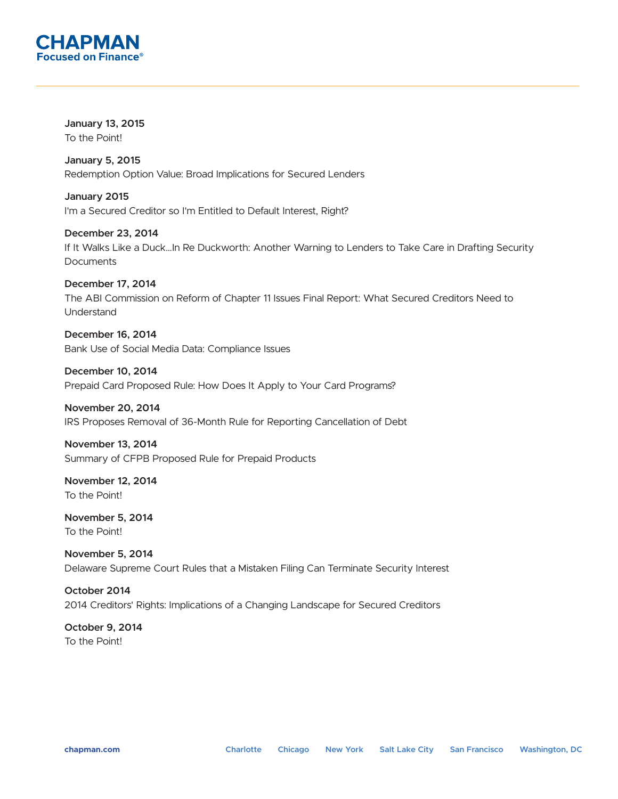

**January 13, 2015** To the Point!

**January 5, 2015** Redemption Option Value: Broad Implications for Secured Lenders

**January 2015** I'm a Secured Creditor so I'm Entitled to Default Interest, Right?

**December 23, 2014** If It Walks Like a Duck…In Re Duckworth: Another Warning to Lenders to Take Care in Drafting Security Documents

**December 17, 2014** The ABI Commission on Reform of Chapter 11 Issues Final Report: What Secured Creditors Need to Understand

**December 16, 2014** Bank Use of Social Media Data: Compliance Issues

**December 10, 2014** Prepaid Card Proposed Rule: How Does It Apply to Your Card Programs?

**November 20, 2014** IRS Proposes Removal of 36-Month Rule for Reporting Cancellation of Debt

**November 13, 2014** Summary of CFPB Proposed Rule for Prepaid Products

**November 12, 2014** To the Point!

**November 5, 2014** To the Point!

**November 5, 2014** Delaware Supreme Court Rules that a Mistaken Filing Can Terminate Security Interest

**October 2014** 2014 Creditors' Rights: Implications of a Changing Landscape for Secured Creditors

**October 9, 2014** To the Point!